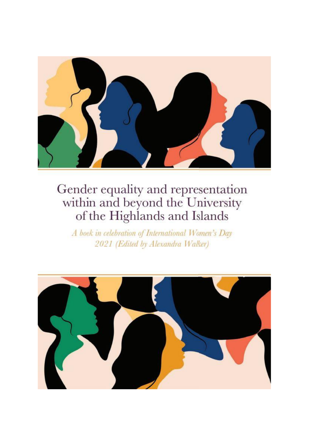

A book in celebration of International Women's Day 2021 (Edited by Alexandra Walker)

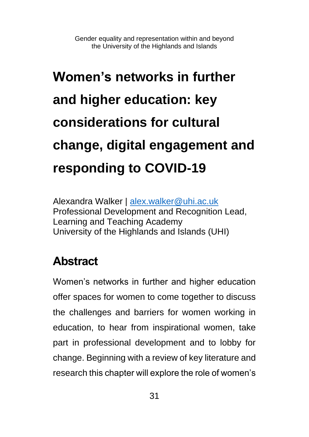# **Women's networks in further and higher education: key considerations for cultural change, digital engagement and responding to COVID-19**

Alexandra Walker | [alex.walker@uhi.ac.uk](mailto:alex.walker@uhi.ac.uk) Professional Development and Recognition Lead, Learning and Teaching Academy University of the Highlands and Islands (UHI)

#### **Abstract**

Women's networks in further and higher education offer spaces for women to come together to discuss the challenges and barriers for women working in education, to hear from inspirational women, take part in professional development and to lobby for change. Beginning with a review of key literature and research this chapter will explore the role of women's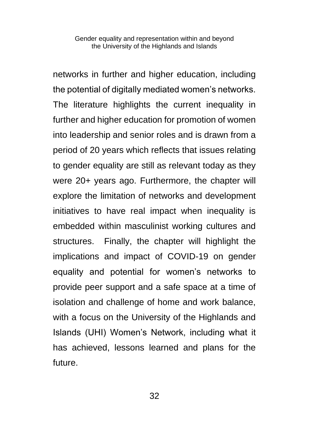networks in further and higher education, including the potential of digitally mediated women's networks. The literature highlights the current inequality in further and higher education for promotion of women into leadership and senior roles and is drawn from a period of 20 years which reflects that issues relating to gender equality are still as relevant today as they were 20+ years ago. Furthermore, the chapter will explore the limitation of networks and development initiatives to have real impact when inequality is embedded within masculinist working cultures and structures. Finally, the chapter will highlight the implications and impact of COVID-19 on gender equality and potential for women's networks to provide peer support and a safe space at a time of isolation and challenge of home and work balance, with a focus on the University of the Highlands and Islands (UHI) Women's Network, including what it has achieved, lessons learned and plans for the future.

32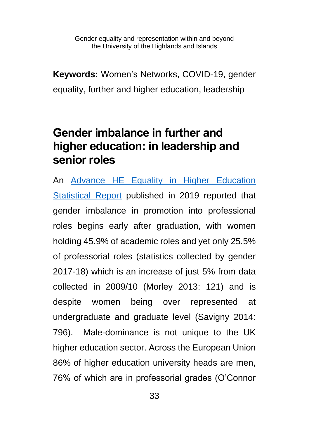**Keywords:** Women's Networks, COVID-19, gender equality, further and higher education, leadership

#### **Gender imbalance in further and higher education: in leadership and senior roles**

An [Advance HE Equality in Higher Education](https://www.advance-he.ac.uk/news-and-views/women-he-accelerating-change-tackle-treatment-and-inclusion-women)  [Statistical Report](https://www.advance-he.ac.uk/news-and-views/women-he-accelerating-change-tackle-treatment-and-inclusion-women) published in 2019 reported that gender imbalance in promotion into professional roles begins early after graduation, with women holding 45.9% of academic roles and yet only 25.5% of professorial roles (statistics collected by gender 2017-18) which is an increase of just 5% from data collected in 2009/10 (Morley 2013: 121) and is despite women being over represented at undergraduate and graduate level (Savigny 2014: 796). Male-dominance is not unique to the UK higher education sector. Across the European Union 86% of higher education university heads are men. 76% of which are in professorial grades (O'Connor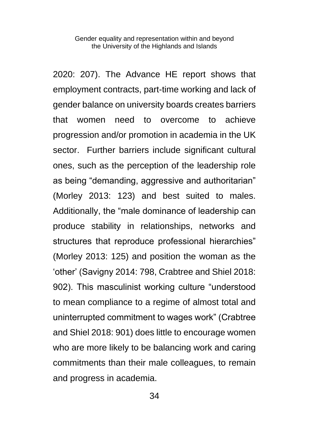2020: 207). The Advance HE report shows that employment contracts, part-time working and lack of gender balance on university boards creates barriers that women need to overcome to achieve progression and/or promotion in academia in the UK sector. Further barriers include significant cultural ones, such as the perception of the leadership role as being "demanding, aggressive and authoritarian" (Morley 2013: 123) and best suited to males. Additionally, the "male dominance of leadership can produce stability in relationships, networks and structures that reproduce professional hierarchies" (Morley 2013: 125) and position the woman as the 'other' (Savigny 2014: 798, Crabtree and Shiel 2018: 902). This masculinist working culture "understood to mean compliance to a regime of almost total and uninterrupted commitment to wages work" (Crabtree and Shiel 2018: 901) does little to encourage women who are more likely to be balancing work and caring commitments than their male colleagues, to remain and progress in academia.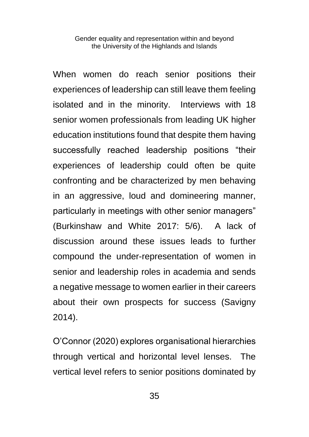When women do reach senior positions their experiences of leadership can still leave them feeling isolated and in the minority. Interviews with 18 senior women professionals from leading UK higher education institutions found that despite them having successfully reached leadership positions "their experiences of leadership could often be quite confronting and be characterized by men behaving in an aggressive, loud and domineering manner, particularly in meetings with other senior managers" (Burkinshaw and White 2017: 5/6). A lack of discussion around these issues leads to further compound the under-representation of women in senior and leadership roles in academia and sends a negative message to women earlier in their careers about their own prospects for success (Savigny 2014).

O'Connor (2020) explores organisational hierarchies through vertical and horizontal level lenses. The vertical level refers to senior positions dominated by

35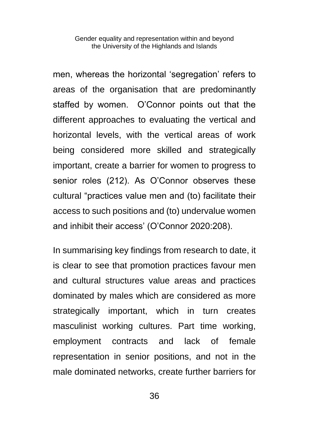men, whereas the horizontal 'segregation' refers to areas of the organisation that are predominantly staffed by women. O'Connor points out that the different approaches to evaluating the vertical and horizontal levels, with the vertical areas of work being considered more skilled and strategically important, create a barrier for women to progress to senior roles (212). As O'Connor observes these cultural "practices value men and (to) facilitate their access to such positions and (to) undervalue women and inhibit their access' (O'Connor 2020:208).

In summarising key findings from research to date, it is clear to see that promotion practices favour men and cultural structures value areas and practices dominated by males which are considered as more strategically important, which in turn creates masculinist working cultures. Part time working, employment contracts and lack of female representation in senior positions, and not in the male dominated networks, create further barriers for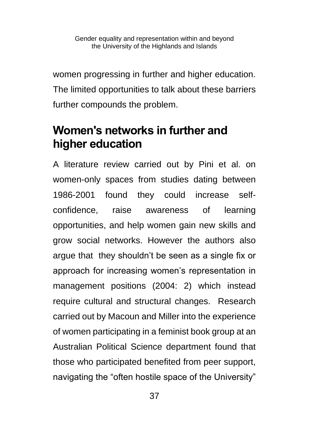women progressing in further and higher education. The limited opportunities to talk about these barriers further compounds the problem.

# **Women's networks in further and higher education**

A literature review carried out by Pini et al. on women-only spaces from studies dating between 1986-2001 found they could increase selfconfidence, raise awareness of learning opportunities, and help women gain new skills and grow social networks. However the authors also argue that they shouldn't be seen as a single fix or approach for increasing women's representation in management positions (2004: 2) which instead require cultural and structural changes. Research carried out by Macoun and Miller into the experience of women participating in a feminist book group at an Australian Political Science department found that those who participated benefited from peer support, navigating the "often hostile space of the University"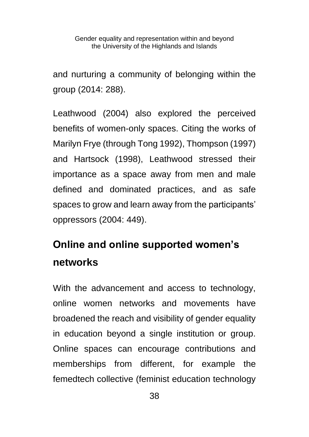and nurturing a community of belonging within the group (2014: 288).

Leathwood (2004) also explored the perceived benefits of women-only spaces. Citing the works of Marilyn Frye (through Tong 1992), Thompson (1997) and Hartsock (1998), Leathwood stressed their importance as a space away from men and male defined and dominated practices, and as safe spaces to grow and learn away from the participants' oppressors (2004: 449).

# **Online and online supported women's networks**

With the advancement and access to technology, online women networks and movements have broadened the reach and visibility of gender equality in education beyond a single institution or group. Online spaces can encourage contributions and memberships from different, for example the femedtech collective (feminist education technology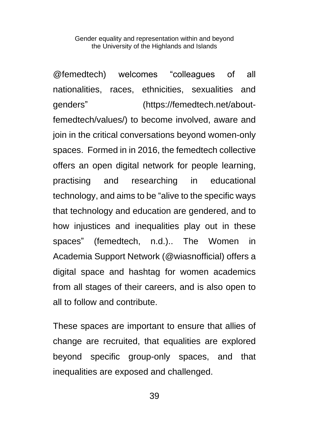@femedtech) welcomes "colleagues of all nationalities, races, ethnicities, sexualities and genders" (https://femedtech.net/aboutfemedtech/values/) to become involved, aware and join in the critical conversations beyond women-only spaces. Formed in in 2016, the femedtech collective offers an open digital network for people learning, practising and researching in educational technology, and aims to be "alive to the specific ways that technology and education are gendered, and to how injustices and inequalities play out in these spaces" (femedtech, n.d.).. The Women in Academia Support Network (@wiasnofficial) offers a digital space and hashtag for women academics from all stages of their careers, and is also open to all to follow and contribute.

These spaces are important to ensure that allies of change are recruited, that equalities are explored beyond specific group-only spaces, and that inequalities are exposed and challenged.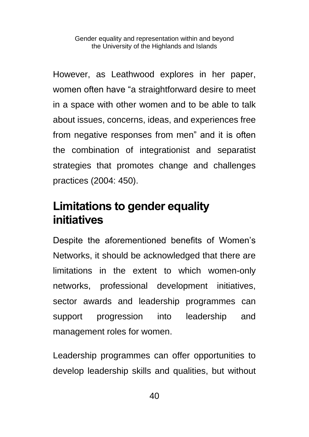However, as Leathwood explores in her paper, women often have "a straightforward desire to meet in a space with other women and to be able to talk about issues, concerns, ideas, and experiences free from negative responses from men" and it is often the combination of integrationist and separatist strategies that promotes change and challenges practices (2004: 450).

#### **Limitations to gender equality initiatives**

Despite the aforementioned benefits of Women's Networks, it should be acknowledged that there are limitations in the extent to which women-only networks, professional development initiatives, sector awards and leadership programmes can support progression into leadership and management roles for women.

Leadership programmes can offer opportunities to develop leadership skills and qualities, but without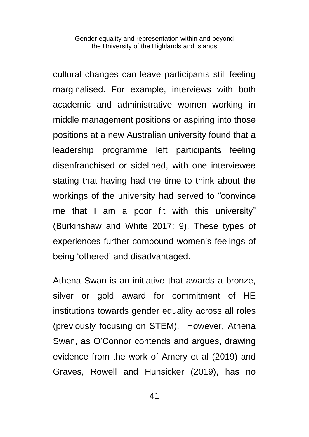cultural changes can leave participants still feeling marginalised. For example, interviews with both academic and administrative women working in middle management positions or aspiring into those positions at a new Australian university found that a leadership programme left participants feeling disenfranchised or sidelined, with one interviewee stating that having had the time to think about the workings of the university had served to "convince me that I am a poor fit with this university" (Burkinshaw and White 2017: 9). These types of experiences further compound women's feelings of being 'othered' and disadvantaged.

Athena Swan is an initiative that awards a bronze, silver or gold award for commitment of HE institutions towards gender equality across all roles (previously focusing on STEM). However, Athena Swan, as O'Connor contends and argues, drawing evidence from the work of Amery et al (2019) and Graves, Rowell and Hunsicker (2019), has no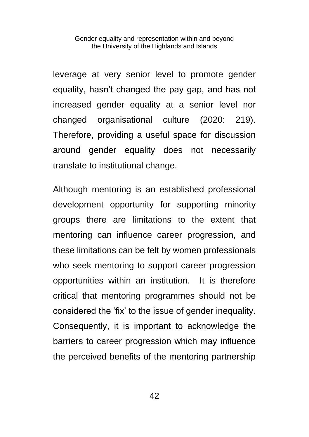leverage at very senior level to promote gender equality, hasn't changed the pay gap, and has not increased gender equality at a senior level nor changed organisational culture (2020: 219). Therefore, providing a useful space for discussion around gender equality does not necessarily translate to institutional change.

Although mentoring is an established professional development opportunity for supporting minority groups there are limitations to the extent that mentoring can influence career progression, and these limitations can be felt by women professionals who seek mentoring to support career progression opportunities within an institution. It is therefore critical that mentoring programmes should not be considered the 'fix' to the issue of gender inequality. Consequently, it is important to acknowledge the barriers to career progression which may influence the perceived benefits of the mentoring partnership

42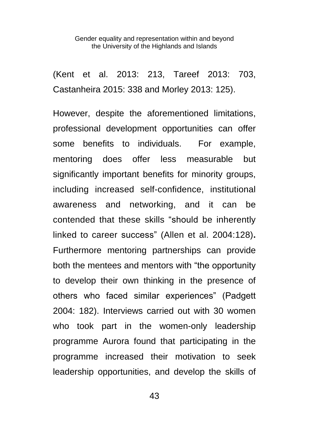(Kent et al. 2013: 213, Tareef 2013: 703, Castanheira 2015: 338 and Morley 2013: 125).

However, despite the aforementioned limitations, professional development opportunities can offer some benefits to individuals. For example, mentoring does offer less measurable but significantly important benefits for minority groups, including increased self-confidence, institutional awareness and networking, and it can be contended that these skills "should be inherently linked to career success" (Allen et al. 2004:128)**.** Furthermore mentoring partnerships can provide both the mentees and mentors with "the opportunity to develop their own thinking in the presence of others who faced similar experiences" (Padgett 2004: 182). Interviews carried out with 30 women who took part in the women-only leadership programme Aurora found that participating in the programme increased their motivation to seek leadership opportunities, and develop the skills of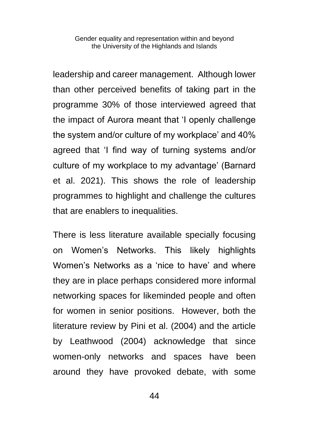leadership and career management. Although lower than other perceived benefits of taking part in the programme 30% of those interviewed agreed that the impact of Aurora meant that 'I openly challenge the system and/or culture of my workplace' and 40% agreed that 'I find way of turning systems and/or culture of my workplace to my advantage' (Barnard et al. 2021). This shows the role of leadership programmes to highlight and challenge the cultures that are enablers to inequalities.

There is less literature available specially focusing on Women's Networks. This likely highlights Women's Networks as a 'nice to have' and where they are in place perhaps considered more informal networking spaces for likeminded people and often for women in senior positions. However, both the literature review by Pini et al. (2004) and the article by Leathwood (2004) acknowledge that since women-only networks and spaces have been around they have provoked debate, with some

44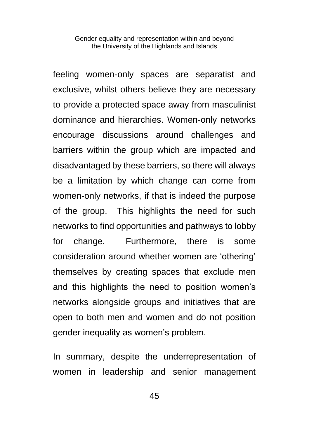feeling women-only spaces are separatist and exclusive, whilst others believe they are necessary to provide a protected space away from masculinist dominance and hierarchies. Women-only networks encourage discussions around challenges and barriers within the group which are impacted and disadvantaged by these barriers, so there will always be a limitation by which change can come from women-only networks, if that is indeed the purpose of the group. This highlights the need for such networks to find opportunities and pathways to lobby for change. Furthermore, there is some consideration around whether women are 'othering' themselves by creating spaces that exclude men and this highlights the need to position women's networks alongside groups and initiatives that are open to both men and women and do not position gender inequality as women's problem.

In summary, despite the underrepresentation of women in leadership and senior management

45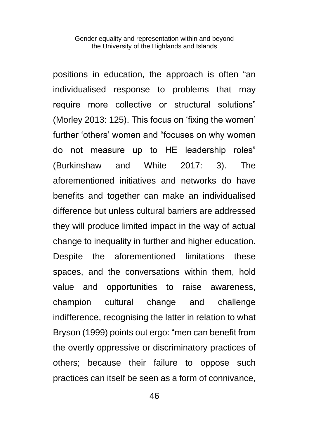positions in education, the approach is often "an individualised response to problems that may require more collective or structural solutions" (Morley 2013: 125). This focus on 'fixing the women' further 'others' women and "focuses on why women do not measure up to HE leadership roles" (Burkinshaw and White 2017: 3). The aforementioned initiatives and networks do have benefits and together can make an individualised difference but unless cultural barriers are addressed they will produce limited impact in the way of actual change to inequality in further and higher education. Despite the aforementioned limitations these spaces, and the conversations within them, hold value and opportunities to raise awareness, champion cultural change and challenge indifference, recognising the latter in relation to what Bryson (1999) points out ergo: "men can benefit from the overtly oppressive or discriminatory practices of others; because their failure to oppose such practices can itself be seen as a form of connivance,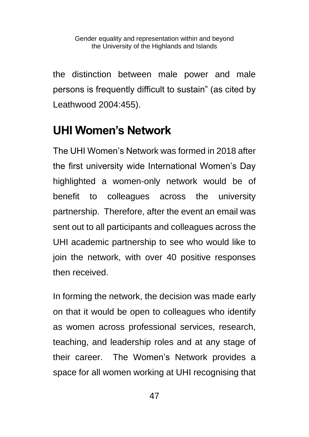the distinction between male power and male persons is frequently difficult to sustain" (as cited by Leathwood 2004:455).

# **UHI Women's Network**

The UHI Women's Network was formed in 2018 after the first university wide International Women's Day highlighted a women-only network would be of benefit to colleagues across the university partnership. Therefore, after the event an email was sent out to all participants and colleagues across the UHI academic partnership to see who would like to join the network, with over 40 positive responses then received.

In forming the network, the decision was made early on that it would be open to colleagues who identify as women across professional services, research, teaching, and leadership roles and at any stage of their career. The Women's Network provides a space for all women working at UHI recognising that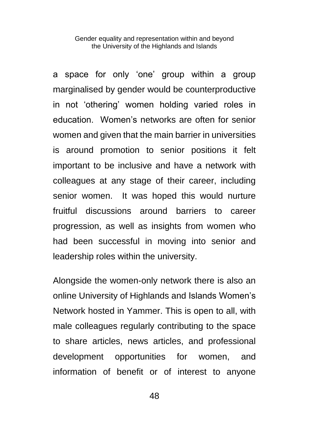a space for only 'one' group within a group marginalised by gender would be counterproductive in not 'othering' women holding varied roles in education. Women's networks are often for senior women and given that the main barrier in universities is around promotion to senior positions it felt important to be inclusive and have a network with colleagues at any stage of their career, including senior women. It was hoped this would nurture fruitful discussions around barriers to career progression, as well as insights from women who had been successful in moving into senior and leadership roles within the university.

Alongside the women-only network there is also an online University of Highlands and Islands Women's Network hosted in Yammer. This is open to all, with male colleagues regularly contributing to the space to share articles, news articles, and professional development opportunities for women, and information of benefit or of interest to anyone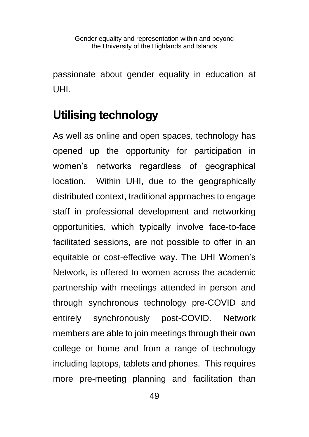passionate about gender equality in education at UHI.

# **Utilising technology**

As well as online and open spaces, technology has opened up the opportunity for participation in women's networks regardless of geographical location. Within UHI, due to the geographically distributed context, traditional approaches to engage staff in professional development and networking opportunities, which typically involve face-to-face facilitated sessions, are not possible to offer in an equitable or cost-effective way. The UHI Women's Network, is offered to women across the academic partnership with meetings attended in person and through synchronous technology pre-COVID and entirely synchronously post-COVID. Network members are able to join meetings through their own college or home and from a range of technology including laptops, tablets and phones. This requires more pre-meeting planning and facilitation than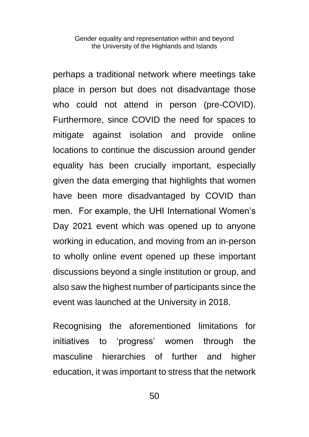perhaps a traditional network where meetings take place in person but does not disadvantage those who could not attend in person (pre-COVID). Furthermore, since COVID the need for spaces to mitigate against isolation and provide online locations to continue the discussion around gender equality has been crucially important, especially given the data emerging that highlights that women have been more disadvantaged by COVID than men. For example, the UHI International Women's Day 2021 event which was opened up to anyone working in education, and moving from an in-person to wholly online event opened up these important discussions beyond a single institution or group, and also saw the highest number of participants since the event was launched at the University in 2018.

Recognising the aforementioned limitations for initiatives to 'progress' women through the masculine hierarchies of further and higher education, it was important to stress that the network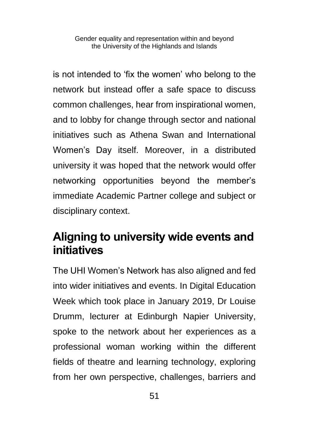is not intended to 'fix the women' who belong to the network but instead offer a safe space to discuss common challenges, hear from inspirational women, and to lobby for change through sector and national initiatives such as Athena Swan and International Women's Day itself. Moreover, in a distributed university it was hoped that the network would offer networking opportunities beyond the member's immediate Academic Partner college and subject or disciplinary context.

#### **Aligning to university wide events and initiatives**

The UHI Women's Network has also aligned and fed into wider initiatives and events. In Digital Education Week which took place in January 2019, Dr Louise Drumm, lecturer at Edinburgh Napier University, spoke to the network about her experiences as a professional woman working within the different fields of theatre and learning technology, exploring from her own perspective, challenges, barriers and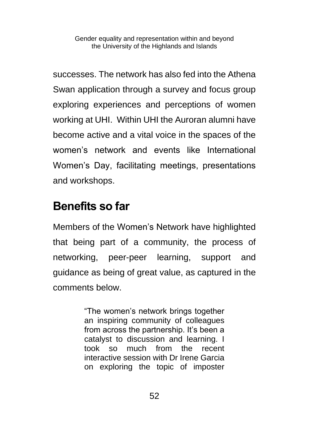successes. The network has also fed into the Athena Swan application through a survey and focus group exploring experiences and perceptions of women working at UHI. Within UHI the Auroran alumni have become active and a vital voice in the spaces of the women's network and events like International Women's Day, facilitating meetings, presentations and workshops.

#### **Benefits so far**

Members of the Women's Network have highlighted that being part of a community, the process of networking, peer-peer learning, support and guidance as being of great value, as captured in the comments below.

> "The women's network brings together an inspiring community of colleagues from across the partnership. It's been a catalyst to discussion and learning. I took so much from the recent interactive session with Dr Irene Garcia on exploring the topic of imposter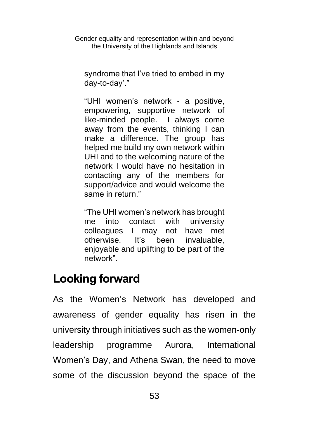syndrome that I've tried to embed in my day-to-day'."

"UHI women's network - a positive, empowering, supportive network of like-minded people. I always come away from the events, thinking I can make a difference. The group has helped me build my own network within UHI and to the welcoming nature of the network I would have no hesitation in contacting any of the members for support/advice and would welcome the same in return."

"The UHI women's network has brought me into contact with university colleagues I may not have met otherwise. It's been invaluable, enjoyable and uplifting to be part of the network".

# **Looking forward**

As the Women's Network has developed and awareness of gender equality has risen in the university through initiatives such as the women-only leadership programme Aurora, International Women's Day, and Athena Swan, the need to move some of the discussion beyond the space of the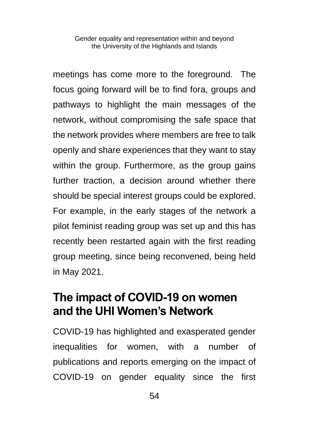meetings has come more to the foreground. The focus going forward will be to find fora, groups and pathways to highlight the main messages of the network, without compromising the safe space that the network provides where members are free to talk openly and share experiences that they want to stay within the group. Furthermore, as the group gains further traction, a decision around whether there should be special interest groups could be explored. For example, in the early stages of the network a pilot feminist reading group was set up and this has recently been restarted again with the first reading group meeting, since being reconvened, being held in May 2021.

#### **The impact of COVID-19 on women and the UHI Women's Network**

COVID-19 has highlighted and exasperated gender inequalities for women, with a number of publications and reports emerging on the impact of COVID-19 on gender equality since the first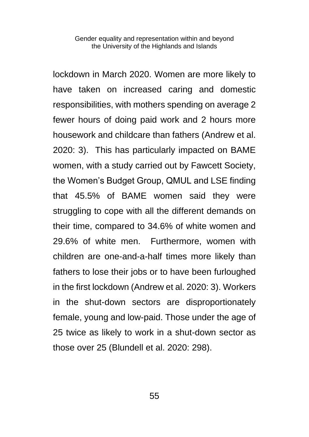lockdown in March 2020. Women are more likely to have taken on increased caring and domestic responsibilities, with mothers spending on average 2 fewer hours of doing paid work and 2 hours more housework and childcare than fathers (Andrew et al. 2020: 3). This has particularly impacted on BAME women, with a study carried out by Fawcett Society, the Women's Budget Group, QMUL and LSE finding that 45.5% of BAME women said they were struggling to cope with all the different demands on their time, compared to 34.6% of white women and 29.6% of white men. Furthermore, women with children are one-and-a-half times more likely than fathers to lose their jobs or to have been furloughed in the first lockdown (Andrew et al. 2020: 3). Workers in the shut-down sectors are disproportionately female, young and low-paid. Those under the age of 25 twice as likely to work in a shut-down sector as those over 25 (Blundell et al. 2020: 298).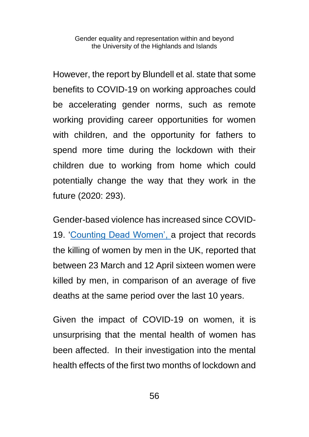However, the report by Blundell et al. state that some benefits to COVID-19 on working approaches could be accelerating gender norms, such as remote working providing career opportunities for women with children, and the opportunity for fathers to spend more time during the lockdown with their children due to working from home which could potentially change the way that they work in the future (2020: 293).

Gender-based violence has increased since COVID-19. ['Counting Dead Women',](https://kareningalasmith.com/counting-dead-women/) a project that records the killing of women by men in the UK, reported that between 23 March and 12 April sixteen women were killed by men, in comparison of an average of five deaths at the same period over the last 10 years.

Given the impact of COVID-19 on women, it is unsurprising that the mental health of women has been affected. In their investigation into the mental health effects of the first two months of lockdown and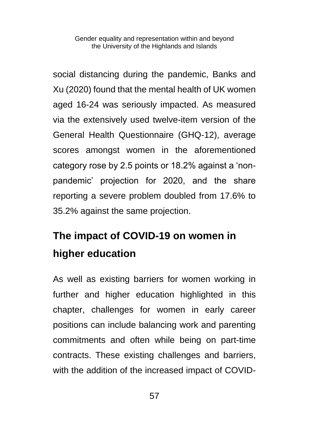social distancing during the pandemic, Banks and Xu (2020) found that the mental health of UK women aged 16-24 was seriously impacted. As measured via the extensively used twelve-item version of the General Health Questionnaire (GHQ-12), average scores amongst women in the aforementioned category rose by 2.5 points or 18.2% against a 'nonpandemic' projection for 2020, and the share reporting a severe problem doubled from 17.6% to 35.2% against the same projection.

# **The impact of COVID-19 on women in higher education**

As well as existing barriers for women working in further and higher education highlighted in this chapter, challenges for women in early career positions can include balancing work and parenting commitments and often while being on part-time contracts. These existing challenges and barriers, with the addition of the increased impact of COVID-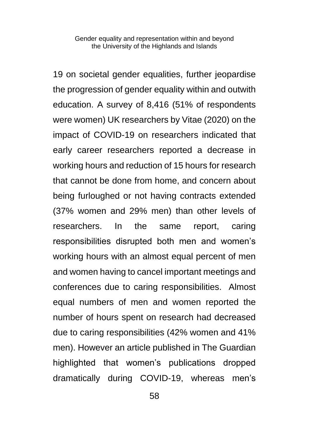19 on societal gender equalities, further jeopardise the progression of gender equality within and outwith education. A survey of 8,416 (51% of respondents were women) UK researchers by Vitae (2020) on the impact of COVID-19 on researchers indicated that early career researchers reported a decrease in working hours and reduction of 15 hours for research that cannot be done from home, and concern about being furloughed or not having contracts extended (37% women and 29% men) than other levels of researchers. In the same report, caring responsibilities disrupted both men and women's working hours with an almost equal percent of men and women having to cancel important meetings and conferences due to caring responsibilities. Almost equal numbers of men and women reported the number of hours spent on research had decreased due to caring responsibilities (42% women and 41% men). However an article published in The Guardian highlighted that women's publications dropped dramatically during COVID-19, whereas men's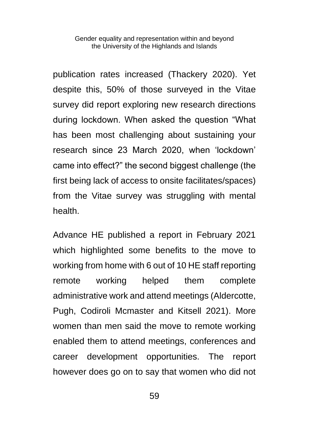publication rates increased (Thackery 2020). Yet despite this, 50% of those surveyed in the Vitae survey did report exploring new research directions during lockdown. When asked the question "What has been most challenging about sustaining your research since 23 March 2020, when 'lockdown' came into effect?" the second biggest challenge (the first being lack of access to onsite facilitates/spaces) from the Vitae survey was struggling with mental health.

Advance HE published a report in February 2021 which highlighted some benefits to the move to working from home with 6 out of 10 HE staff reporting remote working helped them complete administrative work and attend meetings (Aldercotte, Pugh, Codiroli Mcmaster and Kitsell 2021). More women than men said the move to remote working enabled them to attend meetings, conferences and career development opportunities. The report however does go on to say that women who did not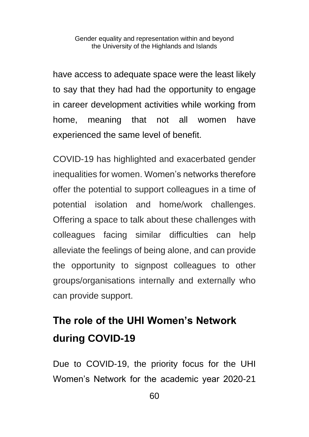have access to adequate space were the least likely to say that they had had the opportunity to engage in career development activities while working from home, meaning that not all women have experienced the same level of benefit.

COVID-19 has highlighted and exacerbated gender inequalities for women. Women's networks therefore offer the potential to support colleagues in a time of potential isolation and home/work challenges. Offering a space to talk about these challenges with colleagues facing similar difficulties can help alleviate the feelings of being alone, and can provide the opportunity to signpost colleagues to other groups/organisations internally and externally who can provide support.

# **The role of the UHI Women's Network during COVID-19**

Due to COVID-19, the priority focus for the UHI Women's Network for the academic year 2020-21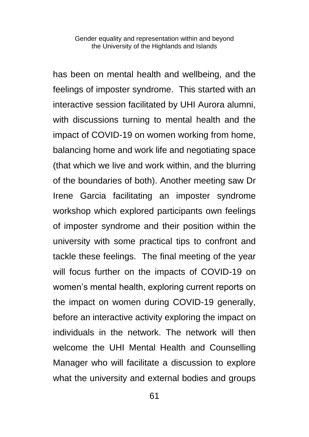has been on mental health and wellbeing, and the feelings of imposter syndrome. This started with an interactive session facilitated by UHI Aurora alumni, with discussions turning to mental health and the impact of COVID-19 on women working from home, balancing home and work life and negotiating space (that which we live and work within, and the blurring of the boundaries of both). Another meeting saw Dr Irene Garcia facilitating an imposter syndrome workshop which explored participants own feelings of imposter syndrome and their position within the university with some practical tips to confront and tackle these feelings. The final meeting of the year will focus further on the impacts of COVID-19 on women's mental health, exploring current reports on the impact on women during COVID-19 generally, before an interactive activity exploring the impact on individuals in the network. The network will then welcome the UHI Mental Health and Counselling Manager who will facilitate a discussion to explore what the university and external bodies and groups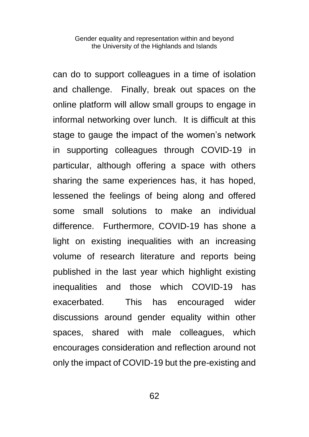can do to support colleagues in a time of isolation and challenge. Finally, break out spaces on the online platform will allow small groups to engage in informal networking over lunch. It is difficult at this stage to gauge the impact of the women's network in supporting colleagues through COVID-19 in particular, although offering a space with others sharing the same experiences has, it has hoped, lessened the feelings of being along and offered some small solutions to make an individual difference. Furthermore, COVID-19 has shone a light on existing inequalities with an increasing volume of research literature and reports being published in the last year which highlight existing inequalities and those which COVID-19 has exacerbated. This has encouraged wider discussions around gender equality within other spaces, shared with male colleagues, which encourages consideration and reflection around not only the impact of COVID-19 but the pre-existing and

62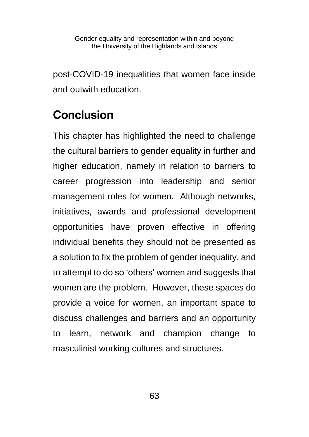post-COVID-19 inequalities that women face inside and outwith education.

# **Conclusion**

This chapter has highlighted the need to challenge the cultural barriers to gender equality in further and higher education, namely in relation to barriers to career progression into leadership and senior management roles for women. Although networks, initiatives, awards and professional development opportunities have proven effective in offering individual benefits they should not be presented as a solution to fix the problem of gender inequality, and to attempt to do so 'others' women and suggests that women are the problem. However, these spaces do provide a voice for women, an important space to discuss challenges and barriers and an opportunity to learn, network and champion change to masculinist working cultures and structures.

63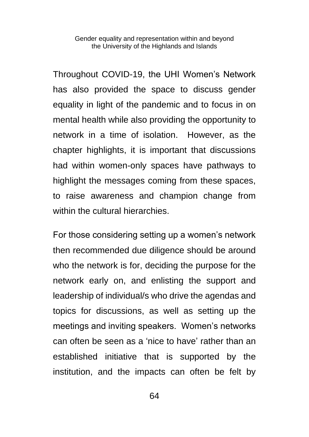Throughout COVID-19, the UHI Women's Network has also provided the space to discuss gender equality in light of the pandemic and to focus in on mental health while also providing the opportunity to network in a time of isolation. However, as the chapter highlights, it is important that discussions had within women-only spaces have pathways to highlight the messages coming from these spaces, to raise awareness and champion change from within the cultural hierarchies.

For those considering setting up a women's network then recommended due diligence should be around who the network is for, deciding the purpose for the network early on, and enlisting the support and leadership of individual/s who drive the agendas and topics for discussions, as well as setting up the meetings and inviting speakers. Women's networks can often be seen as a 'nice to have' rather than an established initiative that is supported by the institution, and the impacts can often be felt by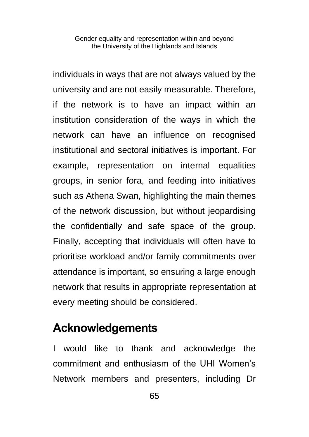individuals in ways that are not always valued by the university and are not easily measurable. Therefore, if the network is to have an impact within an institution consideration of the ways in which the network can have an influence on recognised institutional and sectoral initiatives is important. For example, representation on internal equalities groups, in senior fora, and feeding into initiatives such as Athena Swan, highlighting the main themes of the network discussion, but without jeopardising the confidentially and safe space of the group. Finally, accepting that individuals will often have to prioritise workload and/or family commitments over attendance is important, so ensuring a large enough network that results in appropriate representation at every meeting should be considered.

#### **Acknowledgements**

I would like to thank and acknowledge the commitment and enthusiasm of the UHI Women's Network members and presenters, including Dr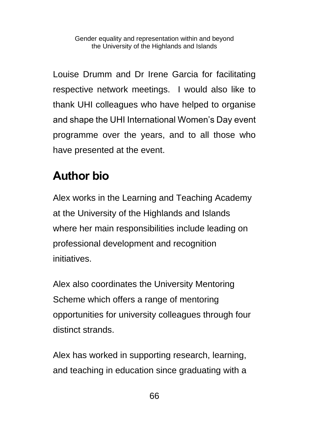Louise Drumm and Dr Irene Garcia for facilitating respective network meetings. I would also like to thank UHI colleagues who have helped to organise and shape the UHI International Women's Day event programme over the years, and to all those who have presented at the event.

# **Author bio**

Alex works in the Learning and Teaching Academy at the University of the Highlands and Islands where her main responsibilities include leading on professional development and recognition initiatives.

Alex also coordinates the [University Mentoring](https://www.uhi.ac.uk/en/learning-and-teaching-academy/prof-devt/mentoring/)  [Scheme](https://www.uhi.ac.uk/en/learning-and-teaching-academy/prof-devt/mentoring/) which offers a range of mentoring opportunities for university colleagues through four distinct strands.

Alex has worked in supporting research, learning, and teaching in education since graduating with a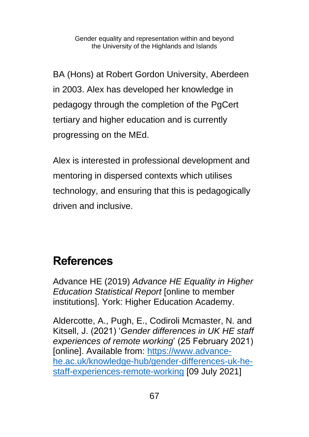BA (Hons) at Robert Gordon University, Aberdeen in 2003. Alex has developed her knowledge in pedagogy through the completion of the PgCert tertiary and higher education and is currently progressing on the MEd.

Alex is interested in professional development and mentoring in dispersed contexts which utilises technology, and ensuring that this is pedagogically driven and inclusive.

#### **References**

Advance HE (2019) *Advance HE Equality in Higher Education Statistical Report* [online to member institutions]. York: Higher Education Academy.

Aldercotte, A., Pugh, E., Codiroli Mcmaster, N. and Kitsell, J. (2021) '*Gender differences in UK HE staff experiences of remote working*' (25 February 2021) [online]. Available from: [https://www.advance](https://www.advance-he.ac.uk/knowledge-hub/gender-differences-uk-he-staff-experiences-remote-working)[he.ac.uk/knowledge-hub/gender-differences-uk-he](https://www.advance-he.ac.uk/knowledge-hub/gender-differences-uk-he-staff-experiences-remote-working)[staff-experiences-remote-working](https://www.advance-he.ac.uk/knowledge-hub/gender-differences-uk-he-staff-experiences-remote-working) [09 July 2021]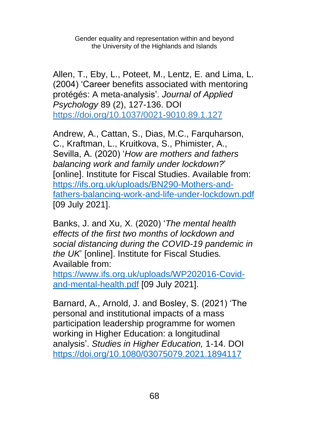Allen, T., Eby, L., Poteet, M., Lentz, E. and Lima, L. (2004) 'Career benefits associated with mentoring protégés: A meta-analysis'. *Journal of Applied Psychology* 89 (2), 127-136. DOI [https://doi.org/10.1037/0021-9010.89.1.127](https://psycnet.apa.org/doi/10.1037/0021-9010.89.1.127)

Andrew, A., Cattan, S., Dias, M.C., Farquharson, C., Kraftman, L., Kruitkova, S., Phimister, A., Sevilla, A. (2020) '*How are mothers and fathers balancing work and family under lockdown?*' [online]. Institute for Fiscal Studies. Available from: [https://ifs.org.uk/uploads/BN290-Mothers-and](https://ifs.org.uk/uploads/BN290-Mothers-and-fathers-balancing-work-and-life-under-lockdown.pdf)[fathers-balancing-work-and-life-under-lockdown.pdf](https://ifs.org.uk/uploads/BN290-Mothers-and-fathers-balancing-work-and-life-under-lockdown.pdf) [09 July 2021].

Banks, J. and Xu, X. (2020) '*The mental health effects of the first two months of lockdown and social distancing during the COVID-19 pandemic in the UK*' [online]. Institute for Fiscal Studies*.*  Available from:

[https://www.ifs.org.uk/uploads/WP202016-Covid](https://www.ifs.org.uk/uploads/WP202016-Covid-and-mental-health.pdf)[and-mental-health.pdf](https://www.ifs.org.uk/uploads/WP202016-Covid-and-mental-health.pdf) [09 July 2021].

Barnard, A., Arnold, J. and Bosley, S. (2021) 'The personal and institutional impacts of a mass participation leadership programme for women working in Higher Education: a longitudinal analysis'. *Studies in Higher Education,* 1-14. DOI <https://doi.org/10.1080/03075079.2021.1894117>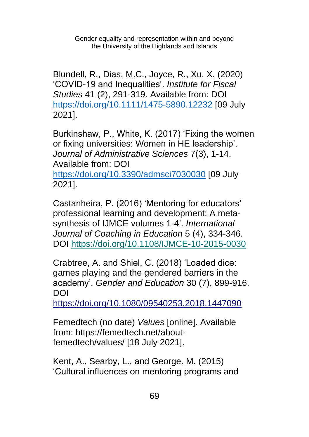Blundell, R., Dias, M.C., Joyce, R., Xu, X. (2020) 'COVID-19 and Inequalities'. *Institute for Fiscal Studies* 41 (2), 291-319. Available from: DOI <https://doi.org/10.1111/1475-5890.12232> [09 July 2021].

Burkinshaw, P., White, K. (2017) 'Fixing the women or fixing universities: Women in HE leadership'. *Journal of Administrative Sciences* 7(3), 1-14. Available from: DOI <https://doi.org/10.3390/admsci7030030> [09 July 2021].

Castanheira, P. (2016) 'Mentoring for educators' professional learning and development: A metasynthesis of IJMCE volumes 1-4'. *International Journal of Coaching in Education* 5 (4), 334-346. DOI<https://doi.org/10.1108/IJMCE-10-2015-0030>

Crabtree, A. and Shiel, C. (2018) 'Loaded dice: games playing and the gendered barriers in the academy'. *Gender and Education* 30 (7), 899-916. DOI

<https://doi.org/10.1080/09540253.2018.1447090>

Femedtech (no date) *Values* [online]. Available from: [https://femedtech.net/about](https://femedtech.net/about-femedtech/values/)[femedtech/values/](https://femedtech.net/about-femedtech/values/) [18 July 2021].

Kent, A., Searby, L., and George. M. (2015) 'Cultural influences on mentoring programs and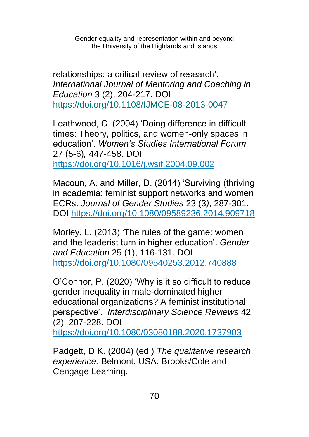relationships: a critical review of research'. *International Journal of Mentoring and Coaching in Education* 3 (2), 204-217. DOI <https://doi.org/10.1108/IJMCE-08-2013-0047>

Leathwood, C. (2004) 'Doing difference in difficult times: Theory, politics, and women-only spaces in education'. *Women's Studies International Forum*  27 (5-6)*,* 447-458. DOI <https://doi.org/10.1016/j.wsif.2004.09.002>

Macoun, A. and Miller, D. (2014) 'Surviving (thriving in academia: feminist support networks and women ECRs. *Journal of Gender Studies* 23 (3*)*, 287-301. DOI<https://doi.org/10.1080/09589236.2014.909718>

Morley, L. (2013) 'The rules of the game: women and the leaderist turn in higher education'. *Gender and Education* 25 (1), 116-131. DOI <https://doi.org/10.1080/09540253.2012.740888>

O'Connor, P. (2020) 'Why is it so difficult to reduce gender inequality in male-dominated higher educational organizations? A feminist institutional perspective'. *Interdisciplinary Science Reviews* 42 (2), 207-228. DOI <https://doi.org/10.1080/03080188.2020.1737903>

Padgett, D.K. (2004) (ed.) *The qualitative research experience.* Belmont, USA: Brooks/Cole and Cengage Learning.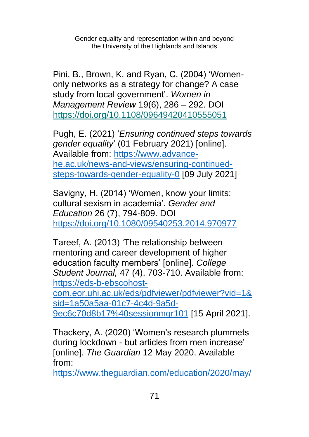Pini, B., Brown, K. and Ryan, C. (2004) 'Womenonly networks as a strategy for change? A case study from local government'. *Women in Management Review* 19(6), 286 – 292. DOI <https://doi.org/10.1108/09649420410555051>

Pugh, E. (2021) '*Ensuring continued steps towards gender equality*' (01 February 2021) [online]. Available from: [https://www.advance](https://www.advance-he.ac.uk/news-and-views/ensuring-continued-steps-towards-gender-equality-0)[he.ac.uk/news-and-views/ensuring-continued](https://www.advance-he.ac.uk/news-and-views/ensuring-continued-steps-towards-gender-equality-0)[steps-towards-gender-equality-0](https://www.advance-he.ac.uk/news-and-views/ensuring-continued-steps-towards-gender-equality-0) [09 July 2021]

Savigny, H. (2014) 'Women, know your limits: cultural sexism in academia'. *Gender and Education* 26 (7), 794-809. DOI <https://doi.org/10.1080/09540253.2014.970977>

Tareef, A. (2013) 'The relationship between mentoring and career development of higher education faculty members' [online]. *College Student Journal,* 47 (4), 703-710. Available from: [https://eds-b-ebscohost](https://eds-b-ebscohost-com.eor.uhi.ac.uk/eds/pdfviewer/pdfviewer?vid=1&sid=1a50a5aa-01c7-4c4d-9a5d-9ec6c70d8b17%40sessionmgr101)[com.eor.uhi.ac.uk/eds/pdfviewer/pdfviewer?vid=1&](https://eds-b-ebscohost-com.eor.uhi.ac.uk/eds/pdfviewer/pdfviewer?vid=1&sid=1a50a5aa-01c7-4c4d-9a5d-9ec6c70d8b17%40sessionmgr101) [sid=1a50a5aa-01c7-4c4d-9a5d-](https://eds-b-ebscohost-com.eor.uhi.ac.uk/eds/pdfviewer/pdfviewer?vid=1&sid=1a50a5aa-01c7-4c4d-9a5d-9ec6c70d8b17%40sessionmgr101)[9ec6c70d8b17%40sessionmgr101](https://eds-b-ebscohost-com.eor.uhi.ac.uk/eds/pdfviewer/pdfviewer?vid=1&sid=1a50a5aa-01c7-4c4d-9a5d-9ec6c70d8b17%40sessionmgr101) [15 April 2021].

Thackery, A. (2020) 'Women's research plummets during lockdown - but articles from men increase' [online]. *The Guardian* 12 May 2020. Available from:

[https://www.theguardian.com/education/2020/may/](https://www.theguardian.com/education/2020/may/12/womens-research-plummets-during-lockdown-but-articles-from-men-increase)